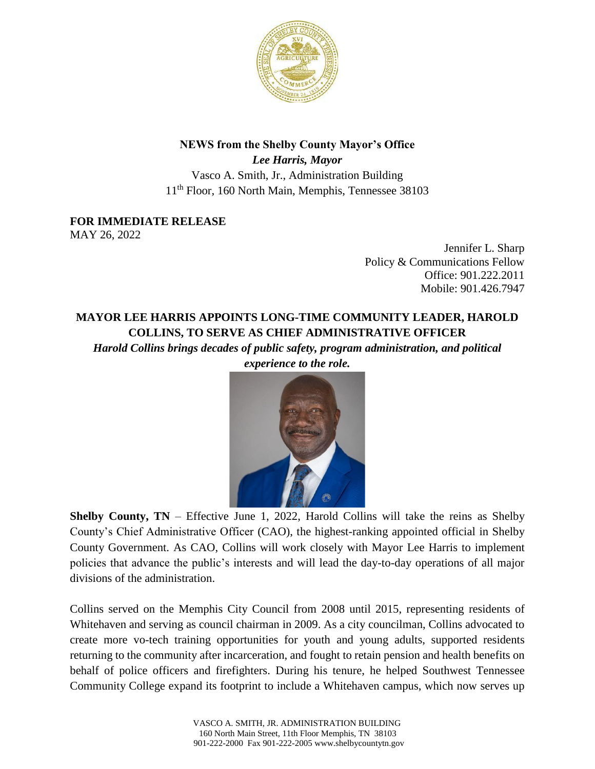

## **NEWS from the Shelby County Mayor's Office**

*Lee Harris, Mayor* Vasco A. Smith, Jr., Administration Building 11th Floor, 160 North Main, Memphis, Tennessee 38103

## **FOR IMMEDIATE RELEASE**

MAY 26, 2022

Jennifer L. Sharp Policy & Communications Fellow Office: 901.222.2011 Mobile: 901.426.7947

## **MAYOR LEE HARRIS APPOINTS LONG-TIME COMMUNITY LEADER, HAROLD COLLINS, TO SERVE AS CHIEF ADMINISTRATIVE OFFICER**

*Harold Collins brings decades of public safety, program administration, and political experience to the role.*



**Shelby County, TN** – Effective June 1, 2022, Harold Collins will take the reins as Shelby County's Chief Administrative Officer (CAO), the highest-ranking appointed official in Shelby County Government. As CAO, Collins will work closely with Mayor Lee Harris to implement policies that advance the public's interests and will lead the day-to-day operations of all major divisions of the administration.

Collins served on the Memphis City Council from 2008 until 2015, representing residents of Whitehaven and serving as council chairman in 2009. As a city councilman, Collins advocated to create more vo-tech training opportunities for youth and young adults, supported residents returning to the community after incarceration, and fought to retain pension and health benefits on behalf of police officers and firefighters. During his tenure, he helped Southwest Tennessee Community College expand its footprint to include a Whitehaven campus, which now serves up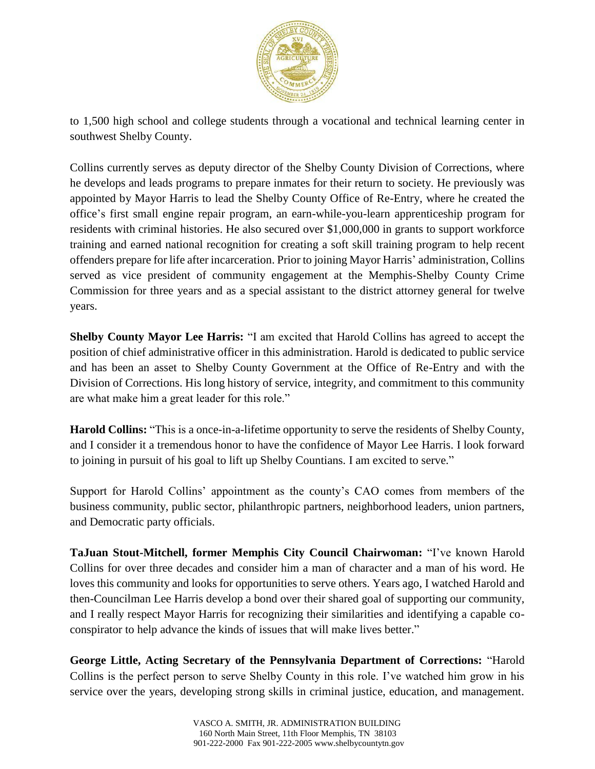

to 1,500 high school and college students through a vocational and technical learning center in southwest Shelby County.

Collins currently serves as deputy director of the Shelby County Division of Corrections, where he develops and leads programs to prepare inmates for their return to society. He previously was appointed by Mayor Harris to lead the Shelby County Office of Re-Entry, where he created the office's first small engine repair program, an earn-while-you-learn apprenticeship program for residents with criminal histories. He also secured over \$1,000,000 in grants to support workforce training and earned national recognition for creating a soft skill training program to help recent offenders prepare for life after incarceration. Prior to joining Mayor Harris' administration, Collins served as vice president of community engagement at the Memphis-Shelby County Crime Commission for three years and as a special assistant to the district attorney general for twelve years.

**Shelby County Mayor Lee Harris:** "I am excited that Harold Collins has agreed to accept the position of chief administrative officer in this administration. Harold is dedicated to public service and has been an asset to Shelby County Government at the Office of Re-Entry and with the Division of Corrections. His long history of service, integrity, and commitment to this community are what make him a great leader for this role."

**Harold Collins:** "This is a once-in-a-lifetime opportunity to serve the residents of Shelby County, and I consider it a tremendous honor to have the confidence of Mayor Lee Harris. I look forward to joining in pursuit of his goal to lift up Shelby Countians. I am excited to serve."

Support for Harold Collins' appointment as the county's CAO comes from members of the business community, public sector, philanthropic partners, neighborhood leaders, union partners, and Democratic party officials.

**TaJuan Stout-Mitchell, former Memphis City Council Chairwoman:** "I've known Harold Collins for over three decades and consider him a man of character and a man of his word. He loves this community and looks for opportunities to serve others. Years ago, I watched Harold and then-Councilman Lee Harris develop a bond over their shared goal of supporting our community, and I really respect Mayor Harris for recognizing their similarities and identifying a capable coconspirator to help advance the kinds of issues that will make lives better."

**George Little, Acting Secretary of the Pennsylvania Department of Corrections:** "Harold Collins is the perfect person to serve Shelby County in this role. I've watched him grow in his service over the years, developing strong skills in criminal justice, education, and management.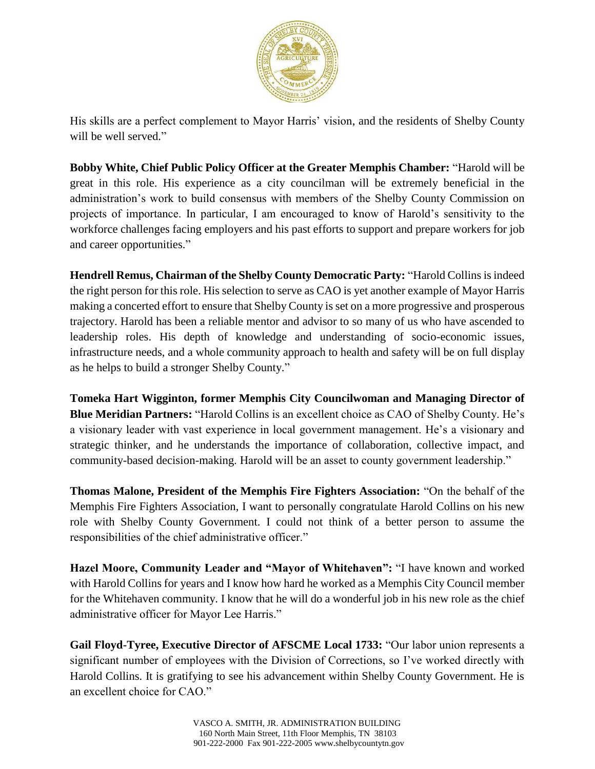

His skills are a perfect complement to Mayor Harris' vision, and the residents of Shelby County will be well served."

**Bobby White, Chief Public Policy Officer at the Greater Memphis Chamber:** "Harold will be great in this role. His experience as a city councilman will be extremely beneficial in the administration's work to build consensus with members of the Shelby County Commission on projects of importance. In particular, I am encouraged to know of Harold's sensitivity to the workforce challenges facing employers and his past efforts to support and prepare workers for job and career opportunities."

**Hendrell Remus, Chairman of the Shelby County Democratic Party:** "Harold Collins is indeed the right person for this role. His selection to serve as CAO is yet another example of Mayor Harris making a concerted effort to ensure that Shelby County is set on a more progressive and prosperous trajectory. Harold has been a reliable mentor and advisor to so many of us who have ascended to leadership roles. His depth of knowledge and understanding of socio-economic issues, infrastructure needs, and a whole community approach to health and safety will be on full display as he helps to build a stronger Shelby County."

**Tomeka Hart Wigginton, former Memphis City Councilwoman and Managing Director of Blue Meridian Partners:** "Harold Collins is an excellent choice as CAO of Shelby County. He's a visionary leader with vast experience in local government management. He's a visionary and strategic thinker, and he understands the importance of collaboration, collective impact, and community-based decision-making. Harold will be an asset to county government leadership."

**Thomas Malone, President of the Memphis Fire Fighters Association:** "On the behalf of the Memphis Fire Fighters Association, I want to personally congratulate Harold Collins on his new role with Shelby County Government. I could not think of a better person to assume the responsibilities of the chief administrative officer."

**Hazel Moore, Community Leader and "Mayor of Whitehaven":** "I have known and worked with Harold Collins for years and I know how hard he worked as a Memphis City Council member for the Whitehaven community. I know that he will do a wonderful job in his new role as the chief administrative officer for Mayor Lee Harris."

**Gail Floyd-Tyree, Executive Director of AFSCME Local 1733:** "Our labor union represents a significant number of employees with the Division of Corrections, so I've worked directly with Harold Collins. It is gratifying to see his advancement within Shelby County Government. He is an excellent choice for CAO."